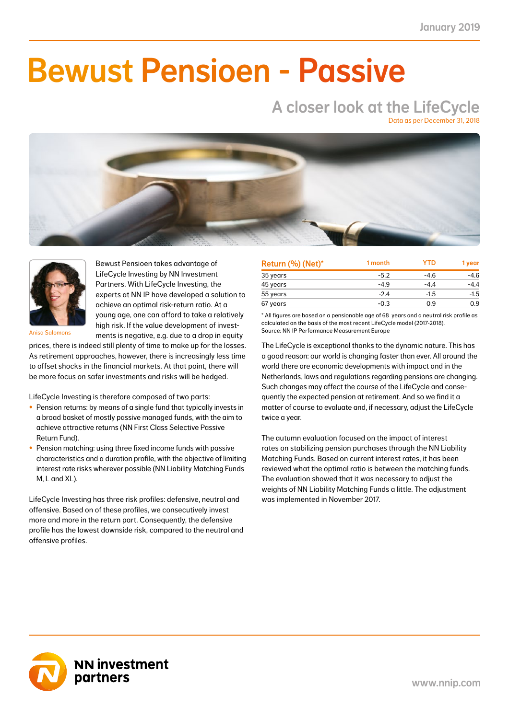### NN Liability Matching Fund M 0.32 0.13 1.02 0.40 1.02 0.40 39.0  $\blacksquare$  $N-1$  . The fund  $N$  $T$  .  $T$  -0.79 -0.79  $-$ Bewust Pensioen - Passive

# A closer look at the LifeCycle

Data as per December 31, 2018





Bewust Pensioen takes advantage of LifeCycle Investing by NN Investment Partners. With LifeCycle Investing, the experts at NN IP have developed a solution to achieve an optimal risk-return ratio. At a young age, one can afford to take a relatively high risk. If the value development of investments is negative, e.g. due to a drop in equity

Anisa Salomons

prices, there is indeed still plenty of time to make up for the losses. As retirement approaches, however, there is increasingly less time to offset shocks in the financial markets. At that point, there will be more focus on safer investments and risks will be hedged.

LifeCycle Investing is therefore composed of two parts:

- Pension returns: by means of a single fund that typically invests in a broad basket of mostly passive managed funds, with the aim to achieve attractive returns (NN First Class Selective Passive Return Fund).
- Pension matching: using three fixed income funds with passive characteristics and a duration profile, with the objective of limiting interest rate risks wherever possible (NN Liability Matching Funds M, L and XL).

LifeCycle Investing has three risk profiles: defensive, neutral and offensive. Based on of these profiles, we consecutively invest more and more in the return part. Consequently, the defensive profile has the lowest downside risk, compared to the neutral and offensive profiles.

| Return (%) (Net)* | 1 month | <b>YTD</b> | 1 year |
|-------------------|---------|------------|--------|
| 35 years          | $-5.2$  | $-4.6$     | $-4.6$ |
| 45 years          | $-4.9$  | $-4.4$     | $-4.4$ |
| 55 years          | $-2.4$  | $-1.5$     | $-1.5$ |
| 67 years          | $-0.3$  | 0.9        | 0.9    |

\* All figures are based on a pensionable age of 68 years and a neutral risk profile as calculated on the basis of the most recent LifeCycle model (2017-2018). Source: NN IP Performance Measurement Europe

The LifeCycle is exceptional thanks to the dynamic nature. This has a good reason: our world is changing faster than ever. All around the world there are economic developments with impact and in the Netherlands, laws and regulations regarding pensions are changing. Such changes may affect the course of the LifeCycle and consequently the expected pension at retirement. And so we find it a matter of course to evaluate and, if necessary, adjust the LifeCycle twice a year.

The autumn evaluation focused on the impact of interest rates on stabilizing pension purchases through the NN Liability Matching Funds. Based on current interest rates, it has been reviewed what the optimal ratio is between the matching funds. The evaluation showed that it was necessary to adjust the weights of NN Liability Matching Funds a little. The adjustment was implemented in November 2017.

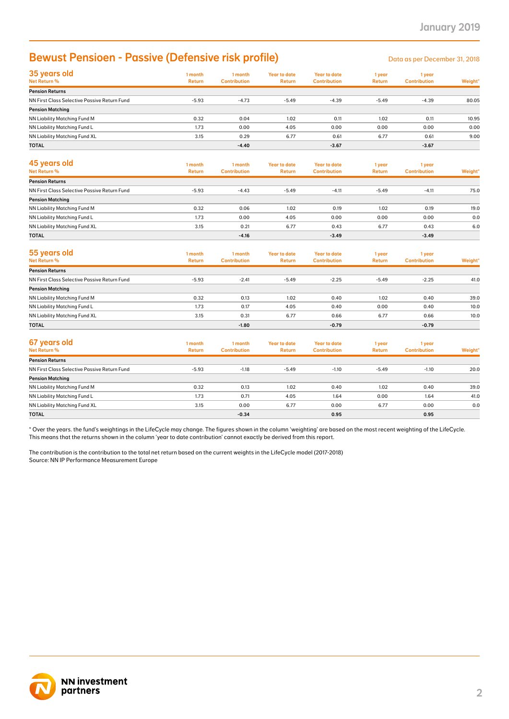### Bewust Pensioen - Passive (Defensive risk profile) Densities and Data as per December 31, 2018

| 35 years old<br>Net Return %                 | 1 month<br><b>Return</b> | 1 month<br><b>Contribution</b> | <b>Year to date</b><br><b>Return</b> | Year to date<br><b>Contribution</b> | 1 year<br><b>Return</b> | 1 year<br><b>Contribution</b> | Weight* |
|----------------------------------------------|--------------------------|--------------------------------|--------------------------------------|-------------------------------------|-------------------------|-------------------------------|---------|
| <b>Pension Returns</b>                       |                          |                                |                                      |                                     |                         |                               |         |
| NN First Class Selective Passive Return Fund | $-5.93$                  | $-4.73$                        | $-5.49$                              | $-4.39$                             | $-5.49$                 | $-4.39$                       | 80.05   |
| <b>Pension Matching</b>                      |                          |                                |                                      |                                     |                         |                               |         |
| NN Liability Matching Fund M                 | 0.32                     | 0.04                           | 1.02                                 | 0.11                                | 1.02                    | 0.11                          | 10.95   |
| NN Liability Matching Fund L                 | 1.73                     | 0.00                           | 4.05                                 | 0.00                                | 0.00                    | 0.00                          | 0.00    |
| NN Liability Matching Fund XL                | 3.15                     | 0.29                           | 6.77                                 | 0.61                                | 6.77                    | 0.61                          | 9.00    |
| <b>TOTAL</b>                                 |                          | $-4.40$                        |                                      | $-3.67$                             |                         | $-3.67$                       |         |

| 45 years old<br>Net Return %                 | 1 month<br><b>Return</b> | 1 month<br><b>Contribution</b> | <b>Year to date</b><br><b>Return</b> | <b>Year to date</b><br><b>Contribution</b> | 1 year<br><b>Return</b> | 1 year<br><b>Contribution</b> | Weight* |
|----------------------------------------------|--------------------------|--------------------------------|--------------------------------------|--------------------------------------------|-------------------------|-------------------------------|---------|
| <b>Pension Returns</b>                       |                          |                                |                                      |                                            |                         |                               |         |
| NN First Class Selective Passive Return Fund | $-5.93$                  | $-4.43$                        | $-5.49$                              | $-4.11$                                    | $-5.49$                 | $-4.11$                       | 75.0    |
| <b>Pension Matching</b>                      |                          |                                |                                      |                                            |                         |                               |         |
| NN Liability Matching Fund M                 | 0.32                     | 0.06                           | 1.02                                 | 0.19                                       | 1.02                    | 0.19                          | 19.0    |
| NN Liability Matching Fund L                 | 1.73                     | 0.00                           | 4.05                                 | 0.00                                       | 0.00                    | 0.00                          | 0.0     |
| NN Liability Matching Fund XL                | 3.15                     | 0.21                           | 6.77                                 | 0.43                                       | 6.77                    | 0.43                          | 6.0     |
| <b>TOTAL</b>                                 |                          | $-4.16$                        |                                      | $-3.49$                                    |                         | $-3.49$                       |         |

| 55 years old<br>Net Return %                 | 1 month<br>Return | 1 month<br><b>Contribution</b> | <b>Year to date</b><br><b>Return</b> | <b>Year to date</b><br><b>Contribution</b> | 1 year<br><b>Return</b> | 1 year<br><b>Contribution</b> | Weight* |
|----------------------------------------------|-------------------|--------------------------------|--------------------------------------|--------------------------------------------|-------------------------|-------------------------------|---------|
| <b>Pension Returns</b>                       |                   |                                |                                      |                                            |                         |                               |         |
| NN First Class Selective Passive Return Fund | $-5.93$           | $-2.41$                        | $-5.49$                              | $-2.25$                                    | $-5.49$                 | $-2.25$                       | 41.0    |
| <b>Pension Matching</b>                      |                   |                                |                                      |                                            |                         |                               |         |
| NN Liability Matching Fund M                 | 0.32              | 0.13                           | 1.02                                 | 0.40                                       | 1.02                    | 0.40                          | 39.0    |
| NN Liability Matching Fund L                 | 1.73              | 0.17                           | 4.05                                 | 0.40                                       | 0.00                    | 0.40                          | 10.0    |
| NN Liability Matching Fund XL                | 3.15              | 0.31                           | 6.77                                 | 0.66                                       | 6.77                    | 0.66                          | 10.0    |
| <b>TOTAL</b>                                 |                   | $-1.80$                        |                                      | $-0.79$                                    |                         | $-0.79$                       |         |

| 35 years old<br>1 month<br>1 month<br><b>Year to date</b><br><b>Year to date</b><br>1 year<br>1 year<br>Net Return %<br><b>Return</b><br><b>Contribution</b><br>Return<br><b>Contribution</b><br><b>Return</b><br><b>Contribution</b><br><b>Pension Returns</b><br>$-4.73$<br>$-4.39$<br>NN First Class Selective Passive Return Fund<br>$-5.93$<br>$-5.49$<br>$-5.49$<br>$-4.39$<br><b>Pension Matching</b><br>1.02<br>1.02<br>NN Liability Matching Fund M<br>0.32<br>0.04<br>0.11<br>0.11<br>0.00<br>4.05<br>0.00<br>0.00<br>0.00<br>1.73<br>3.15<br>0.29<br>6.77<br>6.77<br>0.61<br>0.61<br>$-4.40$<br>$-3.67$<br>$-3.67$<br>1 month<br><b>Year to date</b><br><b>Year to date</b><br>1 month<br>1 year<br>1 year<br>Net Return %<br><b>Return</b><br><b>Contribution</b><br><b>Return</b><br><b>Contribution</b><br>Return<br><b>Contribution</b><br>$-5.93$<br>$-4.43$<br>$-5.49$<br>NN First Class Selective Passive Return Fund<br>$-4.11$<br>$-5.49$<br>$-4.11$<br>0.32<br>0.06<br>1.02<br>0.19<br>1.02<br>0.19<br>1.73<br>4.05<br>0.00<br>0.00<br>0.00<br>0.00<br>0.21<br>6.77<br>3.15<br>0.43<br>6.77<br>0.43<br>$-4.16$<br>$-3.49$<br>$-3.49$<br>1 month<br>1 month<br><b>Year to date</b><br><b>Year to date</b><br>1 year<br>1 year<br>Net Return %<br><b>Return</b><br><b>Contribution</b><br>Return<br><b>Contribution</b><br><b>Return</b><br><b>Contribution</b><br>$-2.41$<br>$-2.25$<br>$-2.25$<br>$-5.93$<br>$-5.49$<br>$-5.49$<br>0.32<br>0.13<br>1.02<br>0.40<br>1.02<br>0.40<br>0.17<br>4.05<br>0.40<br>0.00<br>1.73<br>0.40<br>6.77<br>3.15<br>0.31<br>0.66<br>6.77<br>0.66<br>$-0.79$<br>$-0.79$<br>$-1.80$<br>1 month<br>1 month<br><b>Year to date</b><br><b>Year to date</b><br>1 year<br>1 year<br>Net Return %<br><b>Return</b><br><b>Contribution</b><br><b>Contribution</b><br><b>Return</b><br><b>Contribution</b><br><b>Return</b><br>$-5.93$<br>$-1.18$<br>$-5.49$<br>$-1.10$<br>$-5.49$<br>$-1.10$<br>0.32<br>0.13<br>1.02<br>0.40<br>1.02<br>0.40<br>1.73<br>4.05<br>0.71<br>1.64<br>0.00<br>1.64<br>3.15<br>0.00<br>6.77<br>0.00<br>6.77<br>0.00<br>$-0.34$<br>0.95<br>0.95<br>* Over the years. the fund's weightings in the LifeCycle may change. The figures shown in the column 'weighting' are based on the most recent weighting of the LifeCycle. |                              | <b>Bewust Pensioen - Passive (Defensive risk profile)</b> |  |  | Data as per December 31, 2018 |             |
|-------------------------------------------------------------------------------------------------------------------------------------------------------------------------------------------------------------------------------------------------------------------------------------------------------------------------------------------------------------------------------------------------------------------------------------------------------------------------------------------------------------------------------------------------------------------------------------------------------------------------------------------------------------------------------------------------------------------------------------------------------------------------------------------------------------------------------------------------------------------------------------------------------------------------------------------------------------------------------------------------------------------------------------------------------------------------------------------------------------------------------------------------------------------------------------------------------------------------------------------------------------------------------------------------------------------------------------------------------------------------------------------------------------------------------------------------------------------------------------------------------------------------------------------------------------------------------------------------------------------------------------------------------------------------------------------------------------------------------------------------------------------------------------------------------------------------------------------------------------------------------------------------------------------------------------------------------------------------------------------------------------------------------------------------------------------------------------------------------------------------------------------------------------------------------------------------------------------------------------------------------------------------------------------------|------------------------------|-----------------------------------------------------------|--|--|-------------------------------|-------------|
|                                                                                                                                                                                                                                                                                                                                                                                                                                                                                                                                                                                                                                                                                                                                                                                                                                                                                                                                                                                                                                                                                                                                                                                                                                                                                                                                                                                                                                                                                                                                                                                                                                                                                                                                                                                                                                                                                                                                                                                                                                                                                                                                                                                                                                                                                                 |                              |                                                           |  |  |                               | Weight*     |
|                                                                                                                                                                                                                                                                                                                                                                                                                                                                                                                                                                                                                                                                                                                                                                                                                                                                                                                                                                                                                                                                                                                                                                                                                                                                                                                                                                                                                                                                                                                                                                                                                                                                                                                                                                                                                                                                                                                                                                                                                                                                                                                                                                                                                                                                                                 |                              |                                                           |  |  |                               |             |
|                                                                                                                                                                                                                                                                                                                                                                                                                                                                                                                                                                                                                                                                                                                                                                                                                                                                                                                                                                                                                                                                                                                                                                                                                                                                                                                                                                                                                                                                                                                                                                                                                                                                                                                                                                                                                                                                                                                                                                                                                                                                                                                                                                                                                                                                                                 |                              |                                                           |  |  |                               | 80.05       |
|                                                                                                                                                                                                                                                                                                                                                                                                                                                                                                                                                                                                                                                                                                                                                                                                                                                                                                                                                                                                                                                                                                                                                                                                                                                                                                                                                                                                                                                                                                                                                                                                                                                                                                                                                                                                                                                                                                                                                                                                                                                                                                                                                                                                                                                                                                 |                              |                                                           |  |  |                               | 10.95       |
| NN Liability Matching Fund XL<br>TOTAL<br>45 years old<br><b>Pension Returns</b><br><b>Pension Matching</b><br>NN Liability Matching Fund M<br>NN Liability Matching Fund L<br>NN Liability Matching Fund XL                                                                                                                                                                                                                                                                                                                                                                                                                                                                                                                                                                                                                                                                                                                                                                                                                                                                                                                                                                                                                                                                                                                                                                                                                                                                                                                                                                                                                                                                                                                                                                                                                                                                                                                                                                                                                                                                                                                                                                                                                                                                                    | NN Liability Matching Fund L |                                                           |  |  |                               | 0.00        |
|                                                                                                                                                                                                                                                                                                                                                                                                                                                                                                                                                                                                                                                                                                                                                                                                                                                                                                                                                                                                                                                                                                                                                                                                                                                                                                                                                                                                                                                                                                                                                                                                                                                                                                                                                                                                                                                                                                                                                                                                                                                                                                                                                                                                                                                                                                 |                              |                                                           |  |  |                               | 9.00        |
|                                                                                                                                                                                                                                                                                                                                                                                                                                                                                                                                                                                                                                                                                                                                                                                                                                                                                                                                                                                                                                                                                                                                                                                                                                                                                                                                                                                                                                                                                                                                                                                                                                                                                                                                                                                                                                                                                                                                                                                                                                                                                                                                                                                                                                                                                                 |                              |                                                           |  |  |                               |             |
|                                                                                                                                                                                                                                                                                                                                                                                                                                                                                                                                                                                                                                                                                                                                                                                                                                                                                                                                                                                                                                                                                                                                                                                                                                                                                                                                                                                                                                                                                                                                                                                                                                                                                                                                                                                                                                                                                                                                                                                                                                                                                                                                                                                                                                                                                                 |                              |                                                           |  |  |                               | Weight*     |
|                                                                                                                                                                                                                                                                                                                                                                                                                                                                                                                                                                                                                                                                                                                                                                                                                                                                                                                                                                                                                                                                                                                                                                                                                                                                                                                                                                                                                                                                                                                                                                                                                                                                                                                                                                                                                                                                                                                                                                                                                                                                                                                                                                                                                                                                                                 |                              |                                                           |  |  |                               |             |
|                                                                                                                                                                                                                                                                                                                                                                                                                                                                                                                                                                                                                                                                                                                                                                                                                                                                                                                                                                                                                                                                                                                                                                                                                                                                                                                                                                                                                                                                                                                                                                                                                                                                                                                                                                                                                                                                                                                                                                                                                                                                                                                                                                                                                                                                                                 |                              |                                                           |  |  |                               | 75.0        |
|                                                                                                                                                                                                                                                                                                                                                                                                                                                                                                                                                                                                                                                                                                                                                                                                                                                                                                                                                                                                                                                                                                                                                                                                                                                                                                                                                                                                                                                                                                                                                                                                                                                                                                                                                                                                                                                                                                                                                                                                                                                                                                                                                                                                                                                                                                 |                              |                                                           |  |  |                               |             |
|                                                                                                                                                                                                                                                                                                                                                                                                                                                                                                                                                                                                                                                                                                                                                                                                                                                                                                                                                                                                                                                                                                                                                                                                                                                                                                                                                                                                                                                                                                                                                                                                                                                                                                                                                                                                                                                                                                                                                                                                                                                                                                                                                                                                                                                                                                 |                              |                                                           |  |  |                               | 19.0<br>0.0 |
| <b>TOTAL</b><br>55 years old<br><b>Pension Returns</b><br>NN First Class Selective Passive Return Fund<br><b>Pension Matching</b><br>NN Liability Matching Fund M<br>NN Liability Matching Fund L<br>NN Liability Matching Fund XL<br>TOTAL<br>67 years old<br><b>Pension Returns</b><br>NN First Class Selective Passive Return Fund<br><b>Pension Matching</b><br>NN Liability Matching Fund M<br>NN Liability Matching Fund L<br><b>TOTAL</b>                                                                                                                                                                                                                                                                                                                                                                                                                                                                                                                                                                                                                                                                                                                                                                                                                                                                                                                                                                                                                                                                                                                                                                                                                                                                                                                                                                                                                                                                                                                                                                                                                                                                                                                                                                                                                                                |                              |                                                           |  |  |                               | 6.0         |
|                                                                                                                                                                                                                                                                                                                                                                                                                                                                                                                                                                                                                                                                                                                                                                                                                                                                                                                                                                                                                                                                                                                                                                                                                                                                                                                                                                                                                                                                                                                                                                                                                                                                                                                                                                                                                                                                                                                                                                                                                                                                                                                                                                                                                                                                                                 |                              |                                                           |  |  |                               |             |
|                                                                                                                                                                                                                                                                                                                                                                                                                                                                                                                                                                                                                                                                                                                                                                                                                                                                                                                                                                                                                                                                                                                                                                                                                                                                                                                                                                                                                                                                                                                                                                                                                                                                                                                                                                                                                                                                                                                                                                                                                                                                                                                                                                                                                                                                                                 |                              |                                                           |  |  |                               |             |
| NN Liability Matching Fund XL                                                                                                                                                                                                                                                                                                                                                                                                                                                                                                                                                                                                                                                                                                                                                                                                                                                                                                                                                                                                                                                                                                                                                                                                                                                                                                                                                                                                                                                                                                                                                                                                                                                                                                                                                                                                                                                                                                                                                                                                                                                                                                                                                                                                                                                                   |                              |                                                           |  |  |                               | Weight'     |
|                                                                                                                                                                                                                                                                                                                                                                                                                                                                                                                                                                                                                                                                                                                                                                                                                                                                                                                                                                                                                                                                                                                                                                                                                                                                                                                                                                                                                                                                                                                                                                                                                                                                                                                                                                                                                                                                                                                                                                                                                                                                                                                                                                                                                                                                                                 |                              |                                                           |  |  |                               |             |
|                                                                                                                                                                                                                                                                                                                                                                                                                                                                                                                                                                                                                                                                                                                                                                                                                                                                                                                                                                                                                                                                                                                                                                                                                                                                                                                                                                                                                                                                                                                                                                                                                                                                                                                                                                                                                                                                                                                                                                                                                                                                                                                                                                                                                                                                                                 |                              |                                                           |  |  |                               | 41.0        |
|                                                                                                                                                                                                                                                                                                                                                                                                                                                                                                                                                                                                                                                                                                                                                                                                                                                                                                                                                                                                                                                                                                                                                                                                                                                                                                                                                                                                                                                                                                                                                                                                                                                                                                                                                                                                                                                                                                                                                                                                                                                                                                                                                                                                                                                                                                 |                              |                                                           |  |  |                               | 39.0        |
|                                                                                                                                                                                                                                                                                                                                                                                                                                                                                                                                                                                                                                                                                                                                                                                                                                                                                                                                                                                                                                                                                                                                                                                                                                                                                                                                                                                                                                                                                                                                                                                                                                                                                                                                                                                                                                                                                                                                                                                                                                                                                                                                                                                                                                                                                                 |                              |                                                           |  |  |                               | 10.0        |
|                                                                                                                                                                                                                                                                                                                                                                                                                                                                                                                                                                                                                                                                                                                                                                                                                                                                                                                                                                                                                                                                                                                                                                                                                                                                                                                                                                                                                                                                                                                                                                                                                                                                                                                                                                                                                                                                                                                                                                                                                                                                                                                                                                                                                                                                                                 |                              |                                                           |  |  |                               | 10.0        |
|                                                                                                                                                                                                                                                                                                                                                                                                                                                                                                                                                                                                                                                                                                                                                                                                                                                                                                                                                                                                                                                                                                                                                                                                                                                                                                                                                                                                                                                                                                                                                                                                                                                                                                                                                                                                                                                                                                                                                                                                                                                                                                                                                                                                                                                                                                 |                              |                                                           |  |  |                               |             |
|                                                                                                                                                                                                                                                                                                                                                                                                                                                                                                                                                                                                                                                                                                                                                                                                                                                                                                                                                                                                                                                                                                                                                                                                                                                                                                                                                                                                                                                                                                                                                                                                                                                                                                                                                                                                                                                                                                                                                                                                                                                                                                                                                                                                                                                                                                 |                              |                                                           |  |  |                               |             |
|                                                                                                                                                                                                                                                                                                                                                                                                                                                                                                                                                                                                                                                                                                                                                                                                                                                                                                                                                                                                                                                                                                                                                                                                                                                                                                                                                                                                                                                                                                                                                                                                                                                                                                                                                                                                                                                                                                                                                                                                                                                                                                                                                                                                                                                                                                 |                              |                                                           |  |  |                               | Weight*     |
|                                                                                                                                                                                                                                                                                                                                                                                                                                                                                                                                                                                                                                                                                                                                                                                                                                                                                                                                                                                                                                                                                                                                                                                                                                                                                                                                                                                                                                                                                                                                                                                                                                                                                                                                                                                                                                                                                                                                                                                                                                                                                                                                                                                                                                                                                                 |                              |                                                           |  |  |                               | 20.0        |
|                                                                                                                                                                                                                                                                                                                                                                                                                                                                                                                                                                                                                                                                                                                                                                                                                                                                                                                                                                                                                                                                                                                                                                                                                                                                                                                                                                                                                                                                                                                                                                                                                                                                                                                                                                                                                                                                                                                                                                                                                                                                                                                                                                                                                                                                                                 |                              |                                                           |  |  |                               |             |
|                                                                                                                                                                                                                                                                                                                                                                                                                                                                                                                                                                                                                                                                                                                                                                                                                                                                                                                                                                                                                                                                                                                                                                                                                                                                                                                                                                                                                                                                                                                                                                                                                                                                                                                                                                                                                                                                                                                                                                                                                                                                                                                                                                                                                                                                                                 |                              |                                                           |  |  |                               | 39.0        |
|                                                                                                                                                                                                                                                                                                                                                                                                                                                                                                                                                                                                                                                                                                                                                                                                                                                                                                                                                                                                                                                                                                                                                                                                                                                                                                                                                                                                                                                                                                                                                                                                                                                                                                                                                                                                                                                                                                                                                                                                                                                                                                                                                                                                                                                                                                 |                              |                                                           |  |  |                               | 41.0        |
|                                                                                                                                                                                                                                                                                                                                                                                                                                                                                                                                                                                                                                                                                                                                                                                                                                                                                                                                                                                                                                                                                                                                                                                                                                                                                                                                                                                                                                                                                                                                                                                                                                                                                                                                                                                                                                                                                                                                                                                                                                                                                                                                                                                                                                                                                                 |                              |                                                           |  |  |                               | 0.0         |
| This means that the returns shown in the column 'year to date contribution' cannot exactly be derived from this report.<br>The contribution is the contribution to the total net return based on the current weights in the LifeCycle model (2017-2018)<br>Source: NN IP Performance Measurement Europe                                                                                                                                                                                                                                                                                                                                                                                                                                                                                                                                                                                                                                                                                                                                                                                                                                                                                                                                                                                                                                                                                                                                                                                                                                                                                                                                                                                                                                                                                                                                                                                                                                                                                                                                                                                                                                                                                                                                                                                         |                              |                                                           |  |  |                               |             |
|                                                                                                                                                                                                                                                                                                                                                                                                                                                                                                                                                                                                                                                                                                                                                                                                                                                                                                                                                                                                                                                                                                                                                                                                                                                                                                                                                                                                                                                                                                                                                                                                                                                                                                                                                                                                                                                                                                                                                                                                                                                                                                                                                                                                                                                                                                 |                              |                                                           |  |  |                               |             |

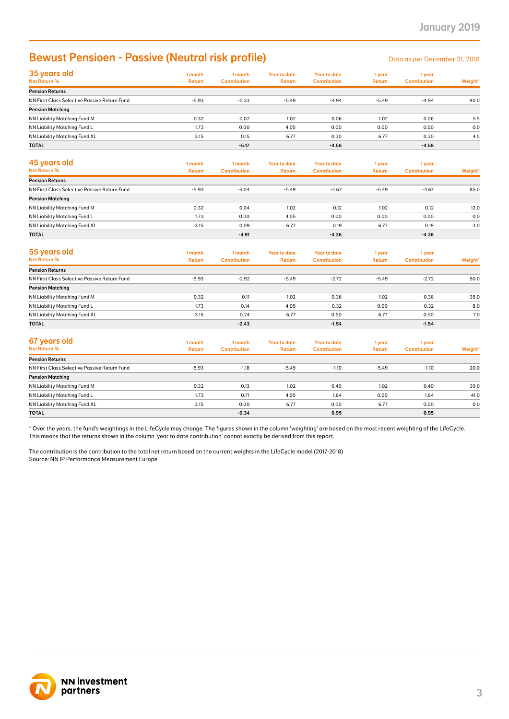## **Bewust Pensioen - Passive (Neutral risk profile)**

| 35 years old<br>Net Return %                 | 1 month<br><b>Return</b> | 1 month<br><b>Contribution</b> | <b>Year to date</b><br><b>Return</b> | <b>Year to date</b><br><b>Contribution</b> | 1 year<br><b>Return</b> | 1 year<br><b>Contribution</b> | Weight* |
|----------------------------------------------|--------------------------|--------------------------------|--------------------------------------|--------------------------------------------|-------------------------|-------------------------------|---------|
| <b>Pension Returns</b>                       |                          |                                |                                      |                                            |                         |                               |         |
| NN First Class Selective Passive Return Fund | $-5.93$                  | $-5.33$                        | $-5.49$                              | $-4.94$                                    | $-5.49$                 | $-4.94$                       | 90.0    |
| <b>Pension Matching</b>                      |                          |                                |                                      |                                            |                         |                               |         |
| NN Liability Matching Fund M                 | 0.32                     | 0.02                           | 1.02                                 | 0.06                                       | 1.02                    | 0.06                          | 5.5     |
| NN Liability Matching Fund L                 | 1.73                     | 0.00                           | 4.05                                 | 0.00                                       | 0.00                    | 0.00                          | 0.0     |
| NN Liability Matching Fund XL                | 3.15                     | 0.15                           | 6.77                                 | 0.30                                       | 6.77                    | 0.30                          | 4.5     |
| <b>TOTAL</b>                                 |                          | $-5.17$                        |                                      | $-4.58$                                    |                         | $-4.58$                       |         |
|                                              |                          |                                |                                      |                                            |                         |                               |         |

| 45 years old<br>Net Return %                 | 1 month<br>Return | 1 month<br><b>Contribution</b> | Year to date<br><b>Return</b> | <b>Year to date</b><br><b>Contribution</b> | 1 year<br><b>Return</b> | 1 year<br><b>Contribution</b> | Weight* |
|----------------------------------------------|-------------------|--------------------------------|-------------------------------|--------------------------------------------|-------------------------|-------------------------------|---------|
| <b>Pension Returns</b>                       |                   |                                |                               |                                            |                         |                               |         |
| NN First Class Selective Passive Return Fund | $-5.93$           | $-5.04$                        | $-5.49$                       | $-4.67$                                    | $-5.49$                 | $-4.67$                       | 85.0    |
| <b>Pension Matching</b>                      |                   |                                |                               |                                            |                         |                               |         |
| NN Liability Matching Fund M                 | 0.32              | 0.04                           | 1.02                          | 0.12                                       | 1.02                    | 0.12                          | 12.0    |
| NN Liability Matching Fund L                 | 1.73              | 0.00                           | 4.05                          | 0.00                                       | 0.00                    | 0.00                          | 0.0     |
| NN Liability Matching Fund XL                | 3.15              | 0.09                           | 6.77                          | 0.19                                       | 6.77                    | 0.19                          | 3.0     |
| <b>TOTAL</b>                                 |                   | $-4.91$                        |                               | $-4.36$                                    |                         | $-4.36$                       |         |

| <b>Bewust Pensioen - Passive (Neutral risk profile)</b>                                                                                                                      |                          |                                |                                      |                                            |                         | Data as per December 31, 2018 |         |
|------------------------------------------------------------------------------------------------------------------------------------------------------------------------------|--------------------------|--------------------------------|--------------------------------------|--------------------------------------------|-------------------------|-------------------------------|---------|
| 35 years old<br>Net Return %                                                                                                                                                 | 1 month<br><b>Return</b> | 1 month<br><b>Contribution</b> | <b>Year to date</b><br><b>Return</b> | <b>Year to date</b><br><b>Contribution</b> | 1 year<br><b>Return</b> | 1 year<br><b>Contribution</b> | Weight' |
| <b>Pension Returns</b>                                                                                                                                                       |                          |                                |                                      |                                            |                         |                               |         |
| NN First Class Selective Passive Return Fund                                                                                                                                 | $-5.93$                  | $-5.33$                        | $-5.49$                              | $-4.94$                                    | $-5.49$                 | $-4.94$                       | 90.0    |
| <b>Pension Matching</b>                                                                                                                                                      |                          |                                |                                      |                                            |                         |                               |         |
| NN Liability Matching Fund M                                                                                                                                                 | 0.32                     | 0.02                           | 1.02                                 | 0.06                                       | 1.02                    | 0.06                          | 5.5     |
| NN Liability Matching Fund L                                                                                                                                                 | 1.73                     | 0.00                           | 4.05                                 | 0.00                                       | 0.00                    | 0.00                          | 0.0     |
| NN Liability Matching Fund XL<br>TOTAL                                                                                                                                       | 3.15                     | 0.15<br>$-5.17$                | 6.77                                 | 0.30<br>$-4.58$                            | 6.77                    | 0.30<br>$-4.58$               | 4.5     |
|                                                                                                                                                                              |                          |                                |                                      |                                            |                         |                               |         |
| 45 years old<br>Net Return %                                                                                                                                                 | 1 month<br><b>Return</b> | 1 month<br><b>Contribution</b> | <b>Year to date</b><br><b>Return</b> | <b>Year to date</b><br><b>Contribution</b> | 1 year<br>Return        | 1 year<br><b>Contribution</b> | Weight* |
| <b>Pension Returns</b>                                                                                                                                                       |                          |                                |                                      |                                            |                         |                               |         |
| NN First Class Selective Passive Return Fund                                                                                                                                 | $-5.93$                  | $-5.04$                        | $-5.49$                              | $-4.67$                                    | $-5.49$                 | $-4.67$                       | 85.0    |
| <b>Pension Matching</b><br>NN Liability Matching Fund M                                                                                                                      | 0.32                     | 0.04                           | 1.02                                 | 0.12                                       | 1.02                    | 0.12                          | 12.0    |
| NN Liability Matching Fund L                                                                                                                                                 | 1.73                     | 0.00                           | 4.05                                 | 0.00                                       | 0.00                    | 0.00                          | 0.0     |
| NN Liability Matching Fund XL                                                                                                                                                | 3.15                     | 0.09                           | 6.77                                 | 0.19                                       | 6.77                    | 0.19                          | 3.0     |
| <b>TOTAL</b>                                                                                                                                                                 |                          | $-4.91$                        |                                      | $-4.36$                                    |                         | $-4.36$                       |         |
|                                                                                                                                                                              |                          |                                |                                      |                                            |                         |                               |         |
| 55 years old                                                                                                                                                                 | 1 month                  | 1 month                        | <b>Year to date</b>                  | <b>Year to date</b>                        | 1 year                  | 1 year                        |         |
| Net Return %                                                                                                                                                                 | <b>Return</b>            | <b>Contribution</b>            | <b>Return</b>                        | <b>Contribution</b>                        | <b>Return</b>           | <b>Contribution</b>           | Weight' |
| <b>Pension Returns</b>                                                                                                                                                       |                          |                                |                                      |                                            |                         |                               |         |
| NN First Class Selective Passive Return Fund                                                                                                                                 | $-5.93$                  | $-2.92$                        | $-5.49$                              | $-2.72$                                    | $-5.49$                 | $-2.72$                       | 50.0    |
| <b>Pension Matching</b>                                                                                                                                                      |                          |                                |                                      |                                            |                         |                               |         |
| NN Liability Matching Fund M                                                                                                                                                 | 0.32                     | 0.11                           | 1.02                                 | 0.36                                       | 1.02                    | 0.36                          | 35.0    |
| NN Liability Matching Fund L                                                                                                                                                 | 1.73                     | 0.14                           | 4.05                                 | 0.32                                       | 0.00                    | 0.32                          | 8.0     |
| NN Liability Matching Fund XL                                                                                                                                                | 3.15                     | 0.24                           | 6.77                                 | 0.50                                       | 6.77                    | 0.50                          | 7.0     |
| TOTAL                                                                                                                                                                        |                          | $-2.43$                        |                                      | $-1.54$                                    |                         | $-1.54$                       |         |
|                                                                                                                                                                              |                          |                                |                                      |                                            |                         |                               |         |
| 67 years old<br>Net Return %                                                                                                                                                 | 1 month<br><b>Return</b> | 1 month<br><b>Contribution</b> | <b>Year to date</b><br><b>Return</b> | <b>Year to date</b><br><b>Contribution</b> | 1 year<br><b>Return</b> | 1 year<br><b>Contribution</b> |         |
| <b>Pension Returns</b>                                                                                                                                                       |                          |                                |                                      |                                            |                         |                               | Weight' |
| NN First Class Selective Passive Return Fund                                                                                                                                 | $-5.93$                  | $-1.18$                        | $-5.49$                              | $-1.10$                                    | $-5.49$                 | $-1.10$                       | 20.0    |
| <b>Pension Matching</b>                                                                                                                                                      |                          |                                |                                      |                                            |                         |                               |         |
| NN Liability Matching Fund M                                                                                                                                                 | 0.32                     | 0.13                           | 1.02                                 | 0.40                                       | 1.02                    | 0.40                          | 39.0    |
| NN Liability Matching Fund L                                                                                                                                                 | 1.73                     | 0.71                           | 4.05                                 | 1.64                                       | 0.00                    | 1.64                          | 41.0    |
| NN Liability Matching Fund XL                                                                                                                                                | 3.15                     | 0.00                           | 6.77                                 | 0.00                                       | 6.77                    | 0.00                          | 0.0     |
| <b>TOTAL</b>                                                                                                                                                                 |                          | $-0.34$                        |                                      | 0.95                                       |                         | 0.95                          |         |
| The contribution is the contribution to the total net return based on the current weights in the LifeCycle model (2017-2018)<br>Source: NN IP Performance Measurement Europe |                          |                                |                                      |                                            |                         |                               |         |
| <b>NN investment</b>                                                                                                                                                         |                          |                                |                                      |                                            |                         |                               |         |

| 67 years old<br>Net Return %                 | 1 month<br><b>Return</b> | 1 month<br><b>Contribution</b> | <b>Year to date</b><br><b>Return</b> | <b>Year to date</b><br><b>Contribution</b> | 1 year<br><b>Return</b> | 1 year<br><b>Contribution</b> | Weight* |
|----------------------------------------------|--------------------------|--------------------------------|--------------------------------------|--------------------------------------------|-------------------------|-------------------------------|---------|
| <b>Pension Returns</b>                       |                          |                                |                                      |                                            |                         |                               |         |
| NN First Class Selective Passive Return Fund | $-5.93$                  | $-1.18$                        | $-5.49$                              | $-1.10$                                    | $-5.49$                 | $-1.10$                       | 20.0    |
| <b>Pension Matching</b>                      |                          |                                |                                      |                                            |                         |                               |         |
| <b>NN Liability Matching Fund M</b>          | 0.32                     | 0.13                           | 1.02                                 | 0.40                                       | 1.02                    | 0.40                          | 39.0    |
| NN Liability Matching Fund L                 | 1.73                     | 0.71                           | 4.05                                 | 1.64                                       | 0.00                    | 1.64                          | 41.0    |
| NN Liability Matching Fund XL                | 3.15                     | 0.00                           | 6.77                                 | 0.00                                       | 6.77                    | 0.00                          | 0.0     |
| <b>TOTAL</b>                                 |                          | $-0.34$                        |                                      | 0.95                                       |                         | 0.95                          |         |
|                                              |                          |                                |                                      |                                            |                         |                               |         |